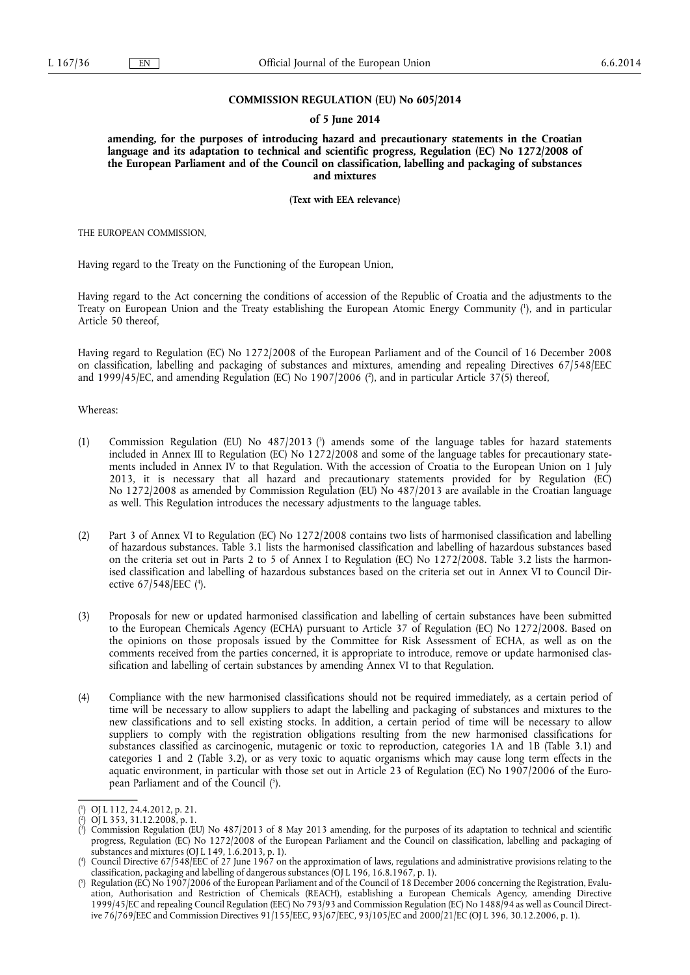#### **COMMISSION REGULATION (EU) No 605/2014**

#### **of 5 June 2014**

**amending, for the purposes of introducing hazard and precautionary statements in the Croatian language and its adaptation to technical and scientific progress, Regulation (EC) No 1272/2008 of the European Parliament and of the Council on classification, labelling and packaging of substances and mixtures** 

**(Text with EEA relevance)** 

THE EUROPEAN COMMISSION,

Having regard to the Treaty on the Functioning of the European Union,

Having regard to the Act concerning the conditions of accession of the Republic of Croatia and the adjustments to the Treaty on European Union and the Treaty establishing the European Atomic Energy Community ( 1 ), and in particular Article 50 thereof,

Having regard to Regulation (EC) No 1272/2008 of the European Parliament and of the Council of 16 December 2008 on classification, labelling and packaging of substances and mixtures, amending and repealing Directives 67/548/EEC and 1999/45/EC, and amending Regulation (EC) No 1907/2006 ( 2 ), and in particular Article 37(5) thereof,

Whereas:

- (1) Commission Regulation (EU) No 487/2013 ( 3 ) amends some of the language tables for hazard statements included in Annex III to Regulation (EC) No 1272/2008 and some of the language tables for precautionary statements included in Annex IV to that Regulation. With the accession of Croatia to the European Union on 1 July 2013, it is necessary that all hazard and precautionary statements provided for by Regulation (EC) No 1272/2008 as amended by Commission Regulation (EU) No 487/2013 are available in the Croatian language as well. This Regulation introduces the necessary adjustments to the language tables.
- (2) Part 3 of Annex VI to Regulation (EC) No 1272/2008 contains two lists of harmonised classification and labelling of hazardous substances. Table 3.1 lists the harmonised classification and labelling of hazardous substances based on the criteria set out in Parts 2 to 5 of Annex I to Regulation (EC) No 1272/2008. Table 3.2 lists the harmonised classification and labelling of hazardous substances based on the criteria set out in Annex VI to Council Directive 67/548/EEC (4).
- (3) Proposals for new or updated harmonised classification and labelling of certain substances have been submitted to the European Chemicals Agency (ECHA) pursuant to Article 37 of Regulation (EC) No 1272/2008. Based on the opinions on those proposals issued by the Committee for Risk Assessment of ECHA, as well as on the comments received from the parties concerned, it is appropriate to introduce, remove or update harmonised classification and labelling of certain substances by amending Annex VI to that Regulation.
- (4) Compliance with the new harmonised classifications should not be required immediately, as a certain period of time will be necessary to allow suppliers to adapt the labelling and packaging of substances and mixtures to the new classifications and to sell existing stocks. In addition, a certain period of time will be necessary to allow suppliers to comply with the registration obligations resulting from the new harmonised classifications for substances classified as carcinogenic, mutagenic or toxic to reproduction, categories 1A and 1B (Table 3.1) and categories 1 and 2 (Table 3.2), or as very toxic to aquatic organisms which may cause long term effects in the aquatic environment, in particular with those set out in Article 23 of Regulation (EC) No 1907/2006 of the European Parliament and of the Council ( 5 ).

<sup>(</sup> 1 ) OJ L 112, 24.4.2012, p. 21.

<sup>(</sup> 2 ) OJ L 353, 31.12.2008, p. 1.

<sup>(</sup> 3 ) Commission Regulation (EU) No 487/2013 of 8 May 2013 amending, for the purposes of its adaptation to technical and scientific progress, Regulation (EC) No 1272/2008 of the European Parliament and the Council on classification, labelling and packaging of substances and mixtures (OJ L 149, 1.6.2013, p. 1).

<sup>(</sup> 4 ) Council Directive 67/548/EEC of 27 June 1967 on the approximation of laws, regulations and administrative provisions relating to the classification, packaging and labelling of dangerous substances (OJ L 196, 16.8.1967, p. 1).

<sup>(</sup> 5 ) Regulation (EC) No 1907/2006 of the European Parliament and of the Council of 18 December 2006 concerning the Registration, Evaluation, Authorisation and Restriction of Chemicals (REACH), establishing a European Chemicals Agency, amending Directive 1999/45/EC and repealing Council Regulation (EEC) No 793/93 and Commission Regulation (EC) No 1488/94 as well as Council Directive 76/769/EEC and Commission Directives 91/155/EEC, 93/67/EEC, 93/105/EC and 2000/21/EC (OJ L 396, 30.12.2006, p. 1).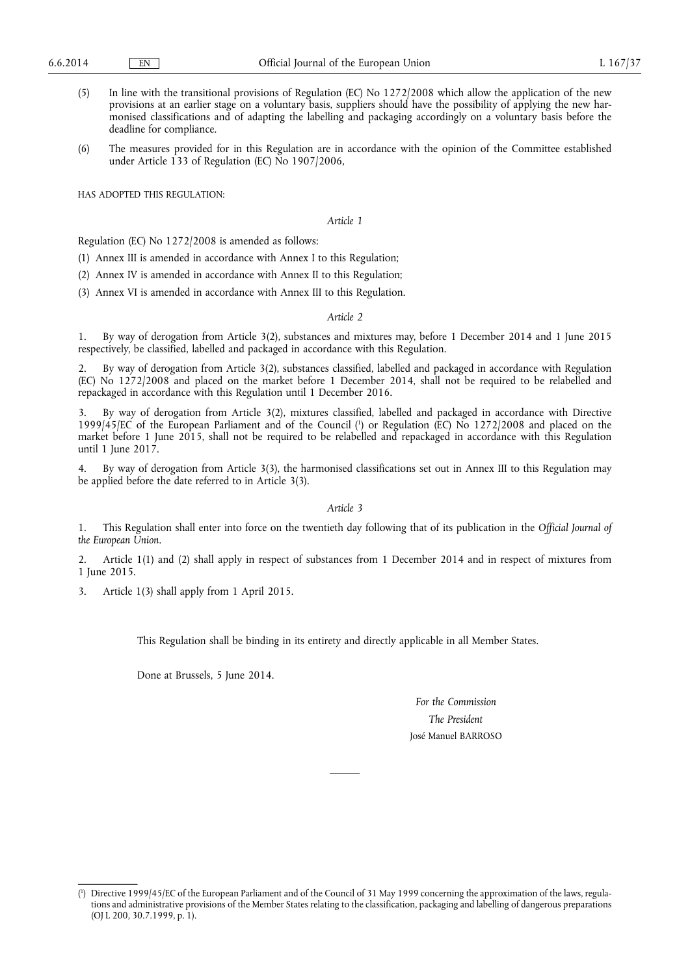- (5) In line with the transitional provisions of Regulation (EC) No 1272/2008 which allow the application of the new provisions at an earlier stage on a voluntary basis, suppliers should have the possibility of applying the new harmonised classifications and of adapting the labelling and packaging accordingly on a voluntary basis before the deadline for compliance.
- (6) The measures provided for in this Regulation are in accordance with the opinion of the Committee established under Article 133 of Regulation (EC) No 1907/2006,

HAS ADOPTED THIS REGULATION:

*Article 1* 

Regulation (EC) No 1272/2008 is amended as follows:

(1) Annex III is amended in accordance with Annex I to this Regulation;

(2) Annex IV is amended in accordance with Annex II to this Regulation;

(3) Annex VI is amended in accordance with Annex III to this Regulation.

#### *Article 2*

1. By way of derogation from Article 3(2), substances and mixtures may, before 1 December 2014 and 1 June 2015 respectively, be classified, labelled and packaged in accordance with this Regulation.

By way of derogation from Article 3(2), substances classified, labelled and packaged in accordance with Regulation (EC) No 1272/2008 and placed on the market before 1 December 2014, shall not be required to be relabelled and repackaged in accordance with this Regulation until 1 December 2016.

3. By way of derogation from Article 3(2), mixtures classified, labelled and packaged in accordance with Directive 1999/45/EC of the European Parliament and of the Council (<sup>1</sup>) or Regulation (EC) No 1272/2008 and placed on the market before 1 June 2015, shall not be required to be relabelled and repackaged in accordance with this Regulation until 1 June 2017.

4. By way of derogation from Article 3(3), the harmonised classifications set out in Annex III to this Regulation may be applied before the date referred to in Article 3(3).

*Article 3* 

1. This Regulation shall enter into force on the twentieth day following that of its publication in the *Official Journal of the European Union*.

2. Article 1(1) and (2) shall apply in respect of substances from 1 December 2014 and in respect of mixtures from 1 June 2015.

3. Article 1(3) shall apply from 1 April 2015.

This Regulation shall be binding in its entirety and directly applicable in all Member States.

Done at Brussels, 5 June 2014.

*For the Commission The President*  José Manuel BARROSO

<sup>(</sup> 1 ) Directive 1999/45/EC of the European Parliament and of the Council of 31 May 1999 concerning the approximation of the laws, regulations and administrative provisions of the Member States relating to the classification, packaging and labelling of dangerous preparations (OJ L 200, 30.7.1999, p. 1).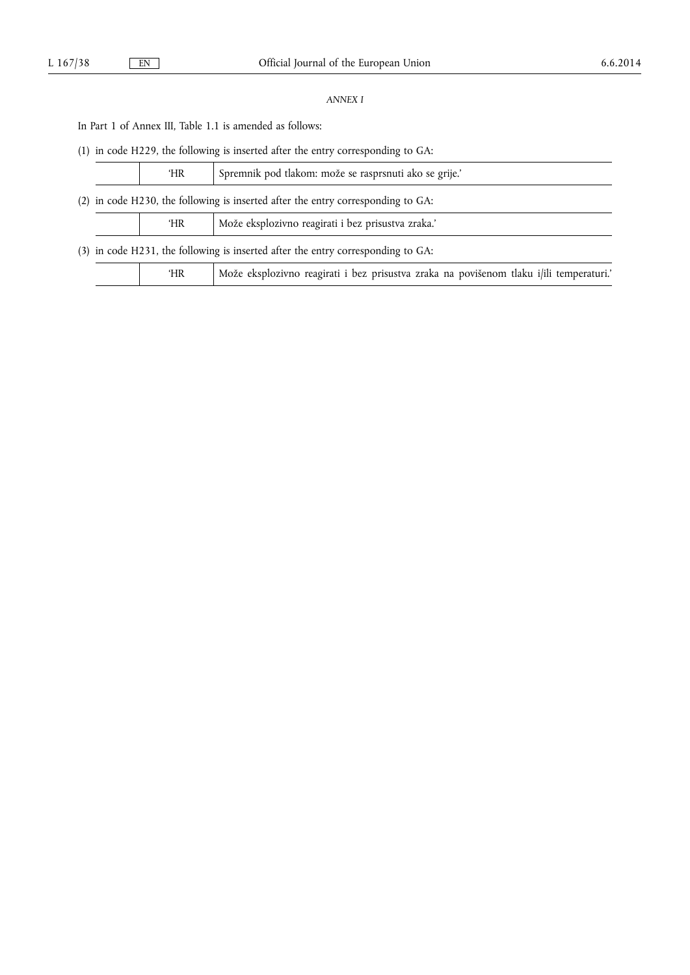# *ANNEX I*

In Part 1 of Annex III, Table 1.1 is amended as follows:

(1) in code H229, the following is inserted after the entry corresponding to GA:

|                                                                                  |                                                                                  | 'HR | Spremnik pod tlakom: može se rasprsnuti ako se grije.'                                  |
|----------------------------------------------------------------------------------|----------------------------------------------------------------------------------|-----|-----------------------------------------------------------------------------------------|
| (2) in code H230, the following is inserted after the entry corresponding to GA: |                                                                                  |     |                                                                                         |
|                                                                                  |                                                                                  | ΉR  | Može eksplozivno reagirati i bez prisustva zraka.'                                      |
|                                                                                  | (3) in code H231, the following is inserted after the entry corresponding to GA: |     |                                                                                         |
|                                                                                  |                                                                                  | 'HR | Može eksplozivno reagirati i bez prisustva zraka na povišenom tlaku i/ili temperaturi.' |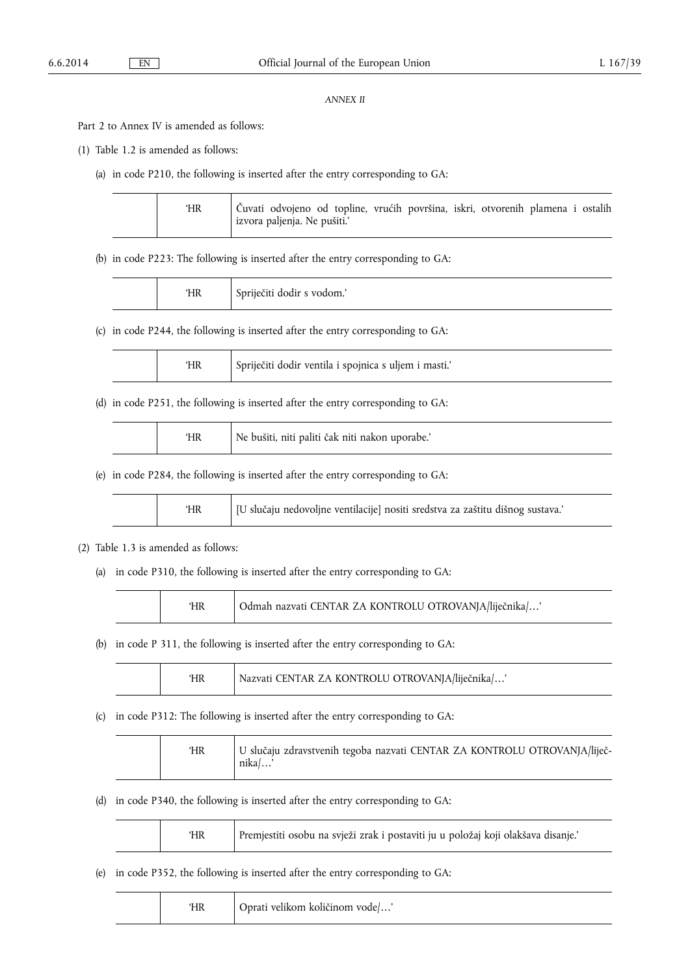## *ANNEX II*

Part 2 to Annex IV is amended as follows:

(1) Table 1.2 is amended as follows:

(a) in code P210, the following is inserted after the entry corresponding to GA:

|  | <b>HR</b> | Čuvati odvojeno od topline, vrućih površina, iskri, otvorenih plamena i ostalih<br>izvora paljenja. Ne pušiti.' |
|--|-----------|-----------------------------------------------------------------------------------------------------------------|
|--|-----------|-----------------------------------------------------------------------------------------------------------------|

(b) in code P223: The following is inserted after the entry corresponding to GA:

|  | 'HR | Spriječiti dodir s vodom.' |
|--|-----|----------------------------|
|--|-----|----------------------------|

(c) in code P244, the following is inserted after the entry corresponding to GA:

|  |  | Spriječiti dodir ventila i spojnica s uljem i masti. |
|--|--|------------------------------------------------------|
|--|--|------------------------------------------------------|

(d) in code P251, the following is inserted after the entry corresponding to GA:

|  | ΉR | Ne bušiti, niti paliti čak niti nakon uporabe.' |
|--|----|-------------------------------------------------|
|--|----|-------------------------------------------------|

(e) in code P284, the following is inserted after the entry corresponding to GA:

|  |  | [U slučaju nedovoljne ventilacije] nositi sredstva za zaštitu dišnog sustava.' |
|--|--|--------------------------------------------------------------------------------|
|--|--|--------------------------------------------------------------------------------|

### (2) Table 1.3 is amended as follows:

 $\top$ 

(a) in code P310, the following is inserted after the entry corresponding to GA:

|  |  | Odmah nazvati CENTAR ZA KONTROLU OTROVANJA/liječnika/' |
|--|--|--------------------------------------------------------|
|--|--|--------------------------------------------------------|

(b) in code P 311, the following is inserted after the entry corresponding to GA:

|  |  | Nazvati CENTAR ZA KONTROLU OTROVANJA/liječnika/' |
|--|--|--------------------------------------------------|
|--|--|--------------------------------------------------|

(c) in code P312: The following is inserted after the entry corresponding to GA:

|  | ʻHR | U slučaju zdravstvenih tegoba nazvati CENTAR ZA KONTROLU OTROVANJA/liječ-<br>nika/ |
|--|-----|------------------------------------------------------------------------------------|
|--|-----|------------------------------------------------------------------------------------|

(d) in code P340, the following is inserted after the entry corresponding to GA:

|--|

(e) in code P352, the following is inserted after the entry corresponding to GA:

 $\overline{\phantom{a}}$ 

|  | ΉR | Oprati velikom količinom vode/' |
|--|----|---------------------------------|
|--|----|---------------------------------|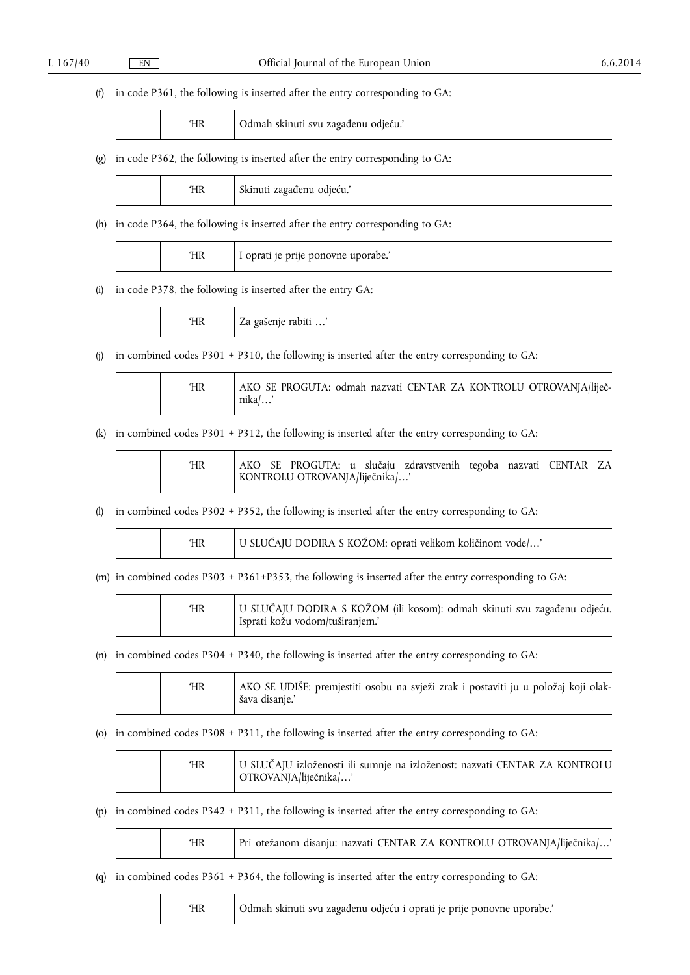# (f) in code P361, the following is inserted after the entry corresponding to GA:

|  |  | Odmah skinuti svu zagađenu odjeću.' |
|--|--|-------------------------------------|
|--|--|-------------------------------------|

# (g) in code P362, the following is inserted after the entry corresponding to GA:

|  | ΉR | Skinuti zagađenu odjeću.' |
|--|----|---------------------------|
|--|----|---------------------------|

(h) in code P364, the following is inserted after the entry corresponding to GA:

|  | UD<br>пк | <br>oprati je prije ponovne uporabe. |
|--|----------|--------------------------------------|
|--|----------|--------------------------------------|

(i) in code P378, the following is inserted after the entry GA:

| $\sim$ $\sim$ $\sim$<br>$I$ aviti $\ldots$<br>∠a<br><b>TIIZ</b><br>2asuu<br>י |
|-------------------------------------------------------------------------------|
|-------------------------------------------------------------------------------|

(j) in combined codes P301 + P310, the following is inserted after the entry corresponding to GA:

| AKO SE PROGUTA: odmah nazvati CENTAR ZA KONTROLU OTROVANJA/liječ-<br>ΉR<br>$nika/$ ' |
|--------------------------------------------------------------------------------------|
|--------------------------------------------------------------------------------------|

(k) in combined codes P301 + P312, the following is inserted after the entry corresponding to GA:

'HR AKO SE PROGUTA: u sluĀaju zdravstvenih tegoba nazvati CENTAR ZA KONTROLU OTROVANJA/lijeĀnika/…'

(l) in combined codes P302 + P352, the following is inserted after the entry corresponding to GA:

| <b>HR</b> | U SLUČAJU DODIRA S KOŽOM: oprati velikom količinom vode/' |
|-----------|-----------------------------------------------------------|
|           |                                                           |

(m) in combined codes P303 + P361+P353, the following is inserted after the entry corresponding to GA:

|  | ΉR | U SLUČAJU DODIRA S KOŽOM (ili kosom): odmah skinuti svu zagađenu odjeću.<br>Isprati kožu vodom/tuširanjem.' |
|--|----|-------------------------------------------------------------------------------------------------------------|
|--|----|-------------------------------------------------------------------------------------------------------------|

## (n) in combined codes P304 + P340, the following is inserted after the entry corresponding to GA:

| ΉR | AKO SE UDIŠE: premjestiti osobu na svježi zrak i postaviti ju u položaj koji olak-<br>šava disanie.' |
|----|------------------------------------------------------------------------------------------------------|
|    |                                                                                                      |

## (o) in combined codes P308 + P311, the following is inserted after the entry corresponding to GA:

| U SLUČAJU izloženosti ili sumnje na izloženost: nazvati CENTAR ZA KONTROLU<br>ΉR<br>OTROVANJA/liječnika/' |
|-----------------------------------------------------------------------------------------------------------|
|-----------------------------------------------------------------------------------------------------------|

(p) in combined codes P342 + P311, the following is inserted after the entry corresponding to GA:

| Pri otežanom disanju: nazvati CENTAR ZA KONTROLU OTROVANJA/liječnika/'<br>ΉR |
|------------------------------------------------------------------------------|
|------------------------------------------------------------------------------|

(q) in combined codes P361 + P364, the following is inserted after the entry corresponding to GA:

|  |  | Odmah skinuti svu zagađenu odjeću i oprati je prije ponovne uporabe.' |
|--|--|-----------------------------------------------------------------------|
|--|--|-----------------------------------------------------------------------|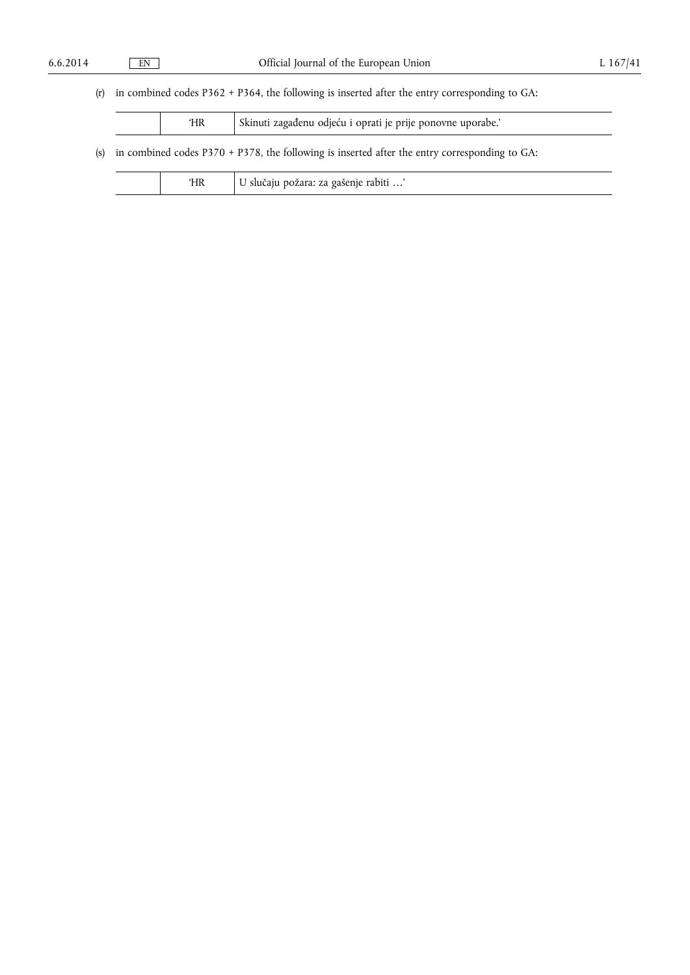# (r) in combined codes P362 + P364, the following is inserted after the entry corresponding to GA:

|                                                                                                      | Skinuti zagađenu odjeću i oprati je prije ponovne uporabe.'<br>'HR |                                       |  |  |  |
|------------------------------------------------------------------------------------------------------|--------------------------------------------------------------------|---------------------------------------|--|--|--|
| (s) in combined codes $P370 + P378$ , the following is inserted after the entry corresponding to GA: |                                                                    |                                       |  |  |  |
| ʻHR                                                                                                  |                                                                    | U slučaju požara: za gašenje rabiti ' |  |  |  |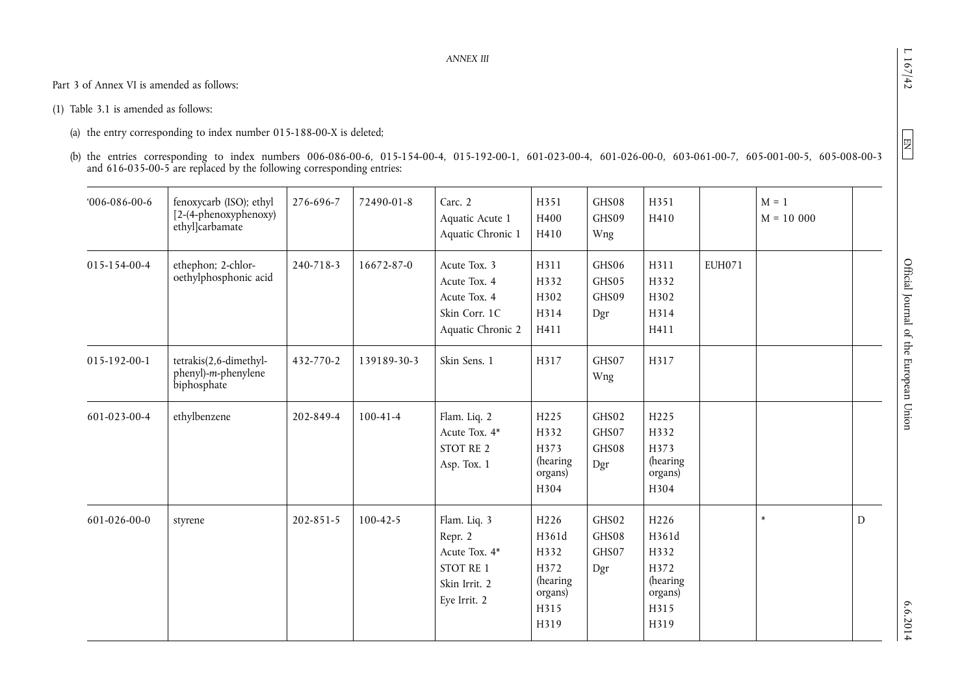$\boxed{\text{NE}}$ 

Part 3 of Annex VI is amended as follows:

(1) Table 3.1 is amended as follows:

(a) the entry corresponding to index number 015-188-00-X is deleted;

(b) the entries corresponding to index numbers 006-086-00-6, 015-154-00-4, 015-192-00-1, 601-023-00-4, 601-026-00-0, 603-061-00-7, 605-001-00-5, 605-008-00-3 and 616-035-00-5 are replaced by the following corresponding entries:

| $006-086-00-6$ | fenoxycarb (ISO); ethyl<br>[2-(4-phenoxyphenoxy)<br>ethyl]carbamate | 276-696-7 | 72490-01-8     | Carc. 2<br>Aquatic Acute 1<br>Aquatic Chronic 1                                        | H351<br>H400<br>H410                                                 | GHS08<br>GHS09<br>Wng          | H351<br>H410                                                                     |               | $M = 1$<br>$M = 10000$ |           |
|----------------|---------------------------------------------------------------------|-----------|----------------|----------------------------------------------------------------------------------------|----------------------------------------------------------------------|--------------------------------|----------------------------------------------------------------------------------|---------------|------------------------|-----------|
| 015-154-00-4   | ethephon; 2-chlor-<br>oethylphosphonic acid                         | 240-718-3 | 16672-87-0     | Acute Tox. 3<br>Acute Tox. 4<br>Acute Tox. 4<br>Skin Corr. 1C<br>Aquatic Chronic 2     | H311<br>H332<br>H302<br>H314<br>H411                                 | GHS06<br>GHS05<br>GHS09<br>Dgr | H311<br>H332<br>H302<br>H314<br>H411                                             | <b>EUH071</b> |                        |           |
| 015-192-00-1   | tetrakis(2,6-dimethyl-<br>phenyl)-m-phenylene<br>biphosphate        | 432-770-2 | 139189-30-3    | Skin Sens. 1                                                                           | H317                                                                 | GHS07<br>Wng                   | H317                                                                             |               |                        |           |
| 601-023-00-4   | ethylbenzene                                                        | 202-849-4 | $100 - 41 - 4$ | Flam. Liq. 2<br>Acute Tox. 4*<br>STOT RE 2<br>Asp. Tox. 1                              | H225<br>H332<br>H373<br>(hearing<br>organs)<br>H304                  | GHS02<br>GHS07<br>GHS08<br>Dgr | H <sub>225</sub><br>H332<br>H373<br>(hearing<br>organs)<br>H304                  |               |                        |           |
| 601-026-00-0   | styrene                                                             | 202-851-5 | $100 - 42 - 5$ | Flam. Liq. 3<br>Repr. 2<br>Acute Tox. 4*<br>STOT RE 1<br>Skin Irrit. 2<br>Eye Irrit. 2 | H226<br>H361d<br>H332<br>H372<br>(hearing<br>organs)<br>H315<br>H319 | GHS02<br>GHS08<br>GHS07<br>Dgr | H <sub>226</sub><br>H361d<br>H332<br>H372<br>(hearing<br>organs)<br>H315<br>H319 |               | $\ast$                 | ${\rm D}$ |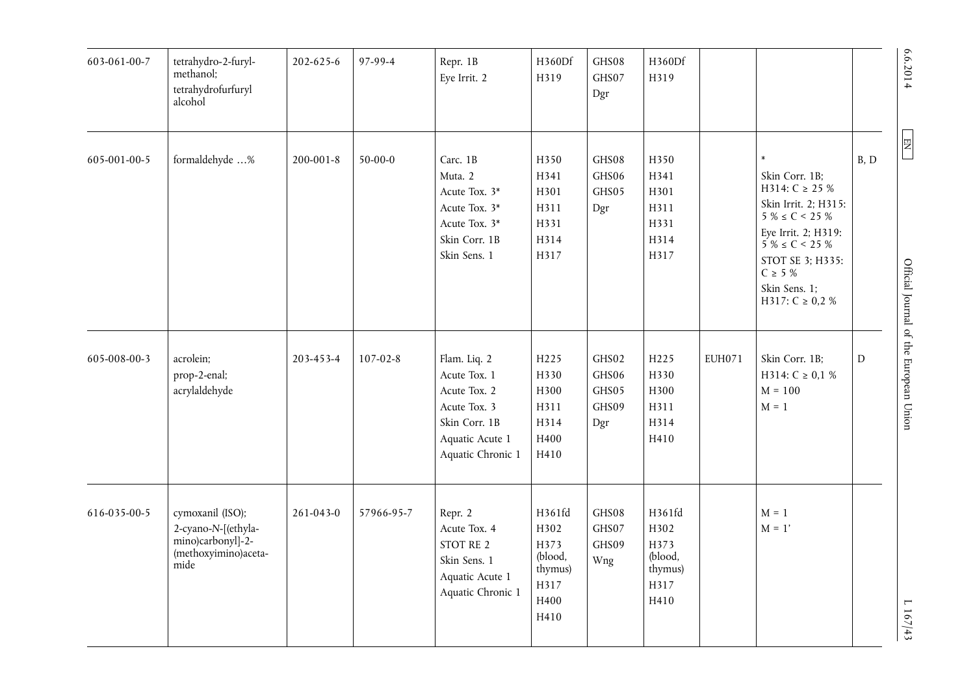| 603-061-00-7 | tetrahydro-2-furyl-<br>methanol;<br>tetrahydrofurfuryl<br>alcohol                            | 202-625-6       | 97-99-4        | Repr. 1B<br>Eye Irrit. 2                                                                                              | H360Df<br>H319                                                       | GHS08<br>GHS07<br>Dgr                   | H360Df<br>H319                                               |               |                                                                                                                                                                                                                               |      | 6.6.2014                               |
|--------------|----------------------------------------------------------------------------------------------|-----------------|----------------|-----------------------------------------------------------------------------------------------------------------------|----------------------------------------------------------------------|-----------------------------------------|--------------------------------------------------------------|---------------|-------------------------------------------------------------------------------------------------------------------------------------------------------------------------------------------------------------------------------|------|----------------------------------------|
| 605-001-00-5 | formaldehyde %                                                                               | $200 - 001 - 8$ | $50 - 00 - 0$  | Carc. 1B<br>Muta. 2<br>Acute Tox. 3*<br>Acute Tox. 3*<br>Acute Tox. 3*<br>Skin Corr. 1B<br>Skin Sens. 1               | H350<br>H341<br>H301<br>H311<br>H331<br>H314<br>H317                 | GHS08<br>GHS06<br>GHS05<br>Dgr          | H350<br>H341<br>H301<br>H311<br>H331<br>H314<br>H317         |               | $\pmb{\ast}$<br>Skin Corr. 1B;<br>H314: $C \ge 25\%$<br>Skin Irrit. 2; H315:<br>$5\% \le C < 25\%$<br>Eye Irrit. 2; H319:<br>$5\% \le C < 25\%$<br>STOT SE 3; H335:<br>$C \geq 5 \%$<br>Skin Sens. 1;<br>H317: $C \ge 0.2 \%$ | B, D | E <sub>H</sub>                         |
| 605-008-00-3 | acrolein;<br>prop-2-enal;<br>acrylaldehyde                                                   | 203-453-4       | $107 - 02 - 8$ | Flam. Liq. 2<br>Acute Tox. 1<br>Acute Tox. 2<br>Acute Tox. 3<br>Skin Corr. 1B<br>Aquatic Acute 1<br>Aquatic Chronic 1 | H <sub>225</sub><br>H330<br>H300<br>H311<br>H314<br>H400<br>H410     | GHS02<br>GHS06<br>GHS05<br>GHS09<br>Dgr | H <sub>225</sub><br>H330<br>H300<br>H311<br>H314<br>H410     | <b>EUH071</b> | Skin Corr. 1B;<br>H314: $C \ge 0.1 \%$<br>$M = 100$<br>$M = 1$                                                                                                                                                                | D    | Official Journal of the European Union |
| 616-035-00-5 | cymoxanil (ISO);<br>2-cyano-N-[(ethyla-<br>mino)carbonyl]-2-<br>(methoxyimino)aceta-<br>mide | $261 - 043 - 0$ | 57966-95-7     | Repr. 2<br>Acute Tox. 4<br>STOT RE 2<br>Skin Sens. 1<br>Aquatic Acute 1<br>Aquatic Chronic 1                          | H361fd<br>H302<br>H373<br>(blood,<br>thymus)<br>H317<br>H400<br>H410 | GHS08<br>GHS07<br>GHS09<br>Wng          | H361fd<br>H302<br>H373<br>(blood,<br>thymus)<br>H317<br>H410 |               | $M = 1$<br>$M = 1'$                                                                                                                                                                                                           |      | L 167/43                               |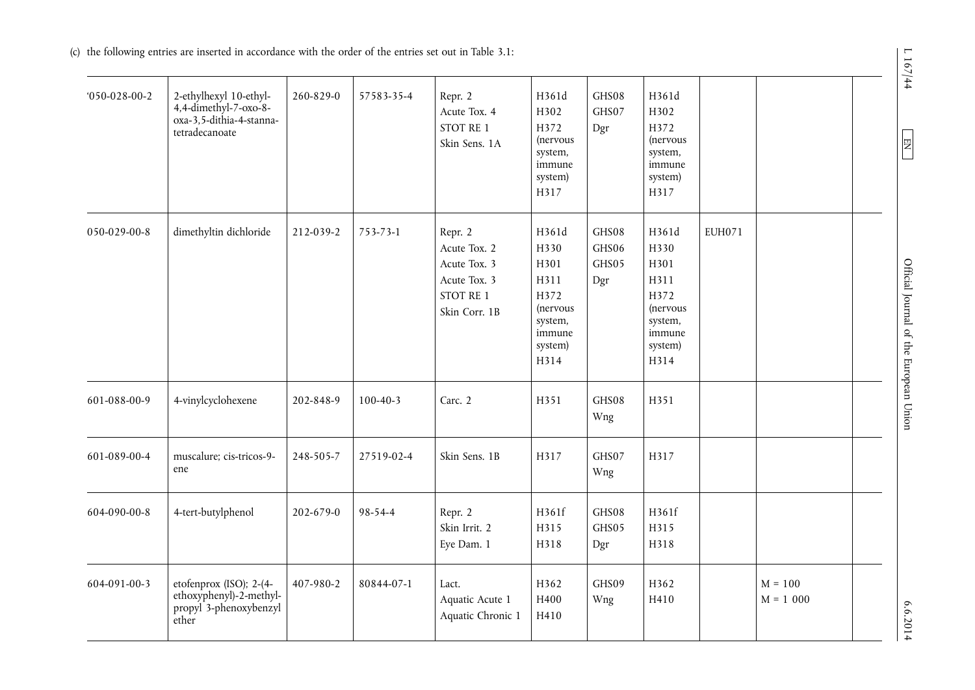(c) the following entries are inserted in accordance with the order of the entries set out in Table 3.1:

| $050-028-00-2$ | 2-ethylhexyl 10-ethyl-<br>4,4-dimethyl-7-oxo-8-<br>oxa-3,5-dithia-4-stanna-<br>tetradecanoate | 260-829-0 | 57583-35-4     | Repr. 2<br>Acute Tox. 4<br>STOT RE 1<br>Skin Sens. 1A                                 | H361d<br>H302<br>H372<br>(nervous<br>system,<br>immune<br>system)<br>H317                 | GHS08<br>GHS07<br>Dgr          | H361d<br>H302<br>H372<br>(nervous<br>system,<br>immune<br>system)<br>H317                 |               |                          |  |
|----------------|-----------------------------------------------------------------------------------------------|-----------|----------------|---------------------------------------------------------------------------------------|-------------------------------------------------------------------------------------------|--------------------------------|-------------------------------------------------------------------------------------------|---------------|--------------------------|--|
| 050-029-00-8   | dimethyltin dichloride                                                                        | 212-039-2 | 753-73-1       | Repr. 2<br>Acute Tox. 2<br>Acute Tox. 3<br>Acute Tox. 3<br>STOT RE 1<br>Skin Corr. 1B | H361d<br>H330<br>H301<br>H311<br>H372<br>(nervous<br>system,<br>immune<br>system)<br>H314 | GHS08<br>GHS06<br>GHS05<br>Dgr | H361d<br>H330<br>H301<br>H311<br>H372<br>(nervous<br>system,<br>immune<br>system)<br>H314 | <b>EUH071</b> |                          |  |
| 601-088-00-9   | 4-vinylcyclohexene                                                                            | 202-848-9 | $100 - 40 - 3$ | Carc. 2                                                                               | H351                                                                                      | GHS08<br>Wng                   | H351                                                                                      |               |                          |  |
| 601-089-00-4   | muscalure; cis-tricos-9-<br>ene                                                               | 248-505-7 | 27519-02-4     | Skin Sens. 1B                                                                         | H317                                                                                      | GHS07<br>Wng                   | H317                                                                                      |               |                          |  |
| 604-090-00-8   | 4-tert-butylphenol                                                                            | 202-679-0 | 98-54-4        | Repr. 2<br>Skin Irrit. 2<br>Eye Dam. 1                                                | H361f<br>H315<br>H318                                                                     | GHS08<br>GHS05<br>Dgr          | H361f<br>H315<br>H318                                                                     |               |                          |  |
| 604-091-00-3   | etofenprox (ISO); 2-(4-<br>ethoxyphenyl)-2-methyl-<br>propyl 3-phenoxybenzyl<br>ether         | 407-980-2 | 80844-07-1     | Lact.<br>Aquatic Acute 1<br>Aquatic Chronic 1                                         | H362<br>H400<br>H410                                                                      | GHS09<br>Wng                   | H362<br>H410                                                                              |               | $M = 100$<br>$M = 1 000$ |  |

 $L 167/44$ 

 $E$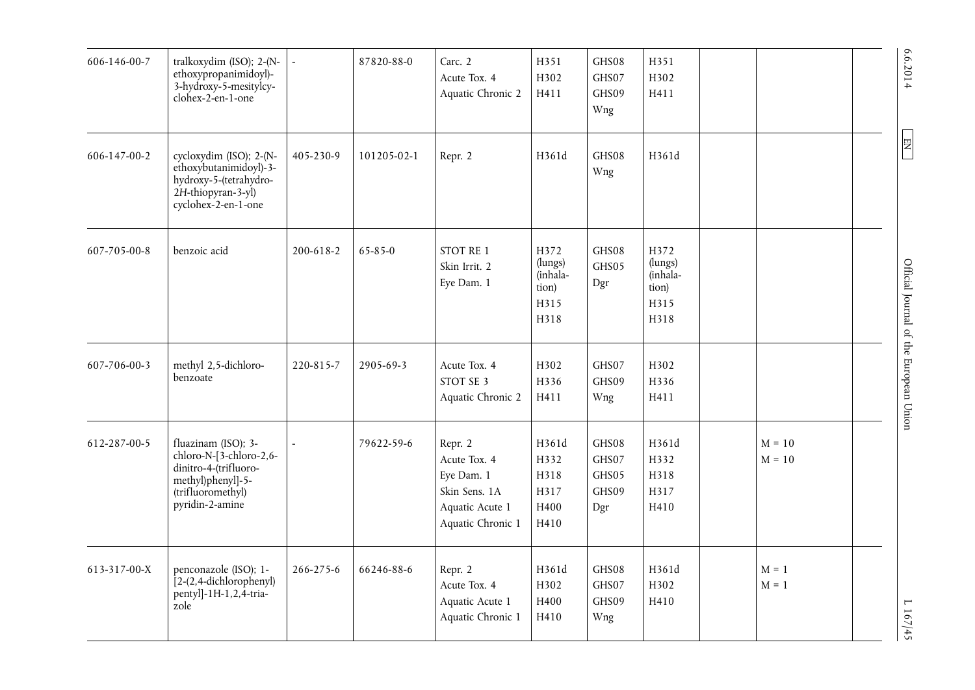| 606-146-00-7 | tralkoxydim (ISO); 2-(N-<br>ethoxypropanimidoyl)-<br>3-hydroxy-5-mesitylcy-<br>clohex-2-en-1-one                                     |           | 87820-88-0  | Carc. 2<br>Acute Tox. 4<br>Aquatic Chronic 2                                                   | H351<br>H302<br>H411                                 | GHS08<br>GHS07<br>GHS09<br>Wng          | H351<br>H302<br>H411                                 |                      | 6.6.2014                               |
|--------------|--------------------------------------------------------------------------------------------------------------------------------------|-----------|-------------|------------------------------------------------------------------------------------------------|------------------------------------------------------|-----------------------------------------|------------------------------------------------------|----------------------|----------------------------------------|
| 606-147-00-2 | cycloxydim (ISO); 2-(N-<br>ethoxybutanimidoyl)-3-<br>hydroxy-5-(tetrahydro-<br>2H-thiopyran-3-yl)<br>cyclohex-2-en-1-one             | 405-230-9 | 101205-02-1 | Repr. 2                                                                                        | H361d                                                | GHS08<br>Wng                            | H361d                                                |                      | E                                      |
| 607-705-00-8 | benzoic acid                                                                                                                         | 200-618-2 | 65-85-0     | STOT RE 1<br>Skin Irrit. 2<br>Eye Dam. 1                                                       | H372<br>(lungs)<br>(inhala-<br>tion)<br>H315<br>H318 | GHS08<br>GHS05<br>Dgr                   | H372<br>(lungs)<br>(inhala-<br>tion)<br>H315<br>H318 |                      | Official Journal of the European Union |
| 607-706-00-3 | methyl 2,5-dichloro-<br>benzoate                                                                                                     | 220-815-7 | 2905-69-3   | Acute Tox. 4<br>STOT SE 3<br>Aquatic Chronic 2                                                 | H302<br>H336<br>H411                                 | GHS07<br>GHS09<br>Wng                   | H302<br>H336<br>H411                                 |                      |                                        |
| 612-287-00-5 | fluazinam (ISO); 3-<br>chloro-N-[3-chloro-2,6-<br>dinitro-4-(trifluoro-<br>methyl)phenyl]-5-<br>(trifluoromethyl)<br>pyridin-2-amine |           | 79622-59-6  | Repr. 2<br>Acute Tox. 4<br>Eye Dam. 1<br>Skin Sens. 1A<br>Aquatic Acute 1<br>Aquatic Chronic 1 | H361d<br>H332<br>H318<br>H317<br>H400<br>H410        | GHS08<br>GHS07<br>GHS05<br>GHS09<br>Dgr | H361d<br>H332<br>H318<br>H317<br>H410                | $M = 10$<br>$M = 10$ |                                        |
| 613-317-00-X | penconazole (ISO); 1-<br>$[2-(2,4-dichlorophenyl)]$<br>pentyl]-1H-1,2,4-tria-<br>zole                                                | 266-275-6 | 66246-88-6  | Repr. 2<br>Acute Tox. 4<br>Aquatic Acute 1<br>Aquatic Chronic 1                                | H361d<br>H302<br>H400<br>H410                        | GHS08<br>GHS07<br>GHS09<br>Wng          | H361d<br>H302<br>H410                                | $M = 1$<br>$M = 1$   | L 167/45                               |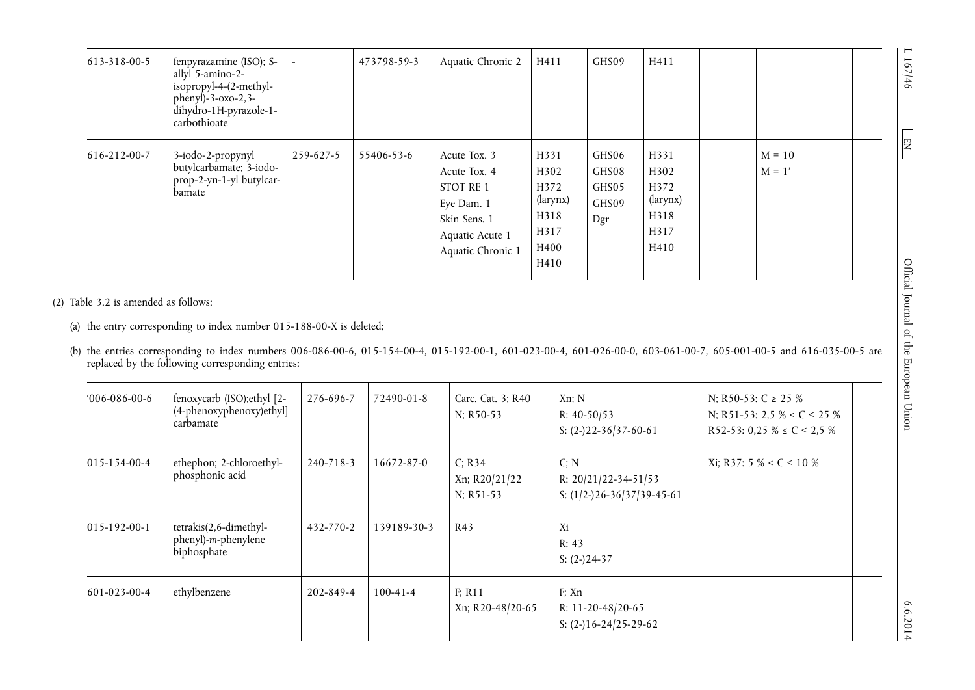| 613-318-00-5 | fenpyrazamine (ISO); S-<br>allyl 5-amino-2-<br>isopropyl-4-(2-methyl-<br>$phenyl$ )-3- $oxo-2,3-$<br>dihydro-1H-pyrazole-1-<br>carbothioate | $\sim$    | 473798-59-3 | Aquatic Chronic 2                                                                                               | H411                                                             | GHS09                                   | H411                                                     |                      |  |
|--------------|---------------------------------------------------------------------------------------------------------------------------------------------|-----------|-------------|-----------------------------------------------------------------------------------------------------------------|------------------------------------------------------------------|-----------------------------------------|----------------------------------------------------------|----------------------|--|
| 616-212-00-7 | 3-iodo-2-propynyl<br>butylcarbamate; 3-iodo-<br>prop-2-yn-1-yl butylcar-<br>bamate                                                          | 259-627-5 | 55406-53-6  | Acute Tox. 3<br>Acute Tox. 4<br>STOT RE 1<br>Eye Dam. 1<br>Skin Sens. 1<br>Aquatic Acute 1<br>Aquatic Chronic 1 | H331<br>H302<br>H372<br>(larynx)<br>H318<br>H317<br>H400<br>H410 | GHS06<br>GHS08<br>GHS05<br>GHS09<br>Dgr | H331<br>H302<br>H372<br>(larynx)<br>H318<br>H317<br>H410 | $M = 10$<br>$M = 1'$ |  |

(2) Table 3.2 is amended as follows:

(a) the entry corresponding to index number 015-188-00-X is deleted;

(b) the entries corresponding to index numbers 006-086-00-6, 015-154-00-4, 015-192-00-1, 601-023-00-4, 601-026-00-0, 603-061-00-7, 605-001-00-5 and 616-035-00-5 are replaced by the following corresponding entries:

| $006-086-00-6$ | fenoxycarb (ISO); ethyl [2-<br>(4-phenoxyphenoxy)ethyl]<br>carbamate | 276-696-7 | 72490-01-8     | Carc. Cat. 3; R40<br>N; R50-53       | Xn: N<br>R: $40-50/53$<br>S: $(2-)22-36/37-60-61$                  | N; R50-53: C $\geq$ 25 %<br>N; R51-53: 2,5 % $\leq$ C < 25 %<br>R52-53: 0,25 % $\leq C$ < 2,5 % |  |
|----------------|----------------------------------------------------------------------|-----------|----------------|--------------------------------------|--------------------------------------------------------------------|-------------------------------------------------------------------------------------------------|--|
| 015-154-00-4   | ethephon; 2-chloroethyl-<br>phosphonic acid                          | 240-718-3 | 16672-87-0     | C: R34<br>Xn; R20/21/22<br>N; R51-53 | C; N<br>R: $20/21/22 - 34 - 51/53$<br>S: $(1/2-)26-36/37/39-45-61$ | Xi; R37: 5 % ≤ C < 10 %                                                                         |  |
| 015-192-00-1   | tetrakis(2,6-dimethyl-<br>phenyl)-m-phenylene<br>biphosphate         | 432-770-2 | 139189-30-3    | R43                                  | Xi<br>R: 43<br>S: $(2-)24-37$                                      |                                                                                                 |  |
| 601-023-00-4   | ethylbenzene                                                         | 202-849-4 | $100 - 41 - 4$ | F: R11<br>Xn; R20-48/20-65           | F: Xn<br>R: 11-20-48/20-65<br>S: $(2-)16-24/25-29-62$              |                                                                                                 |  |

 $1167/46$  $\sqrt{2}$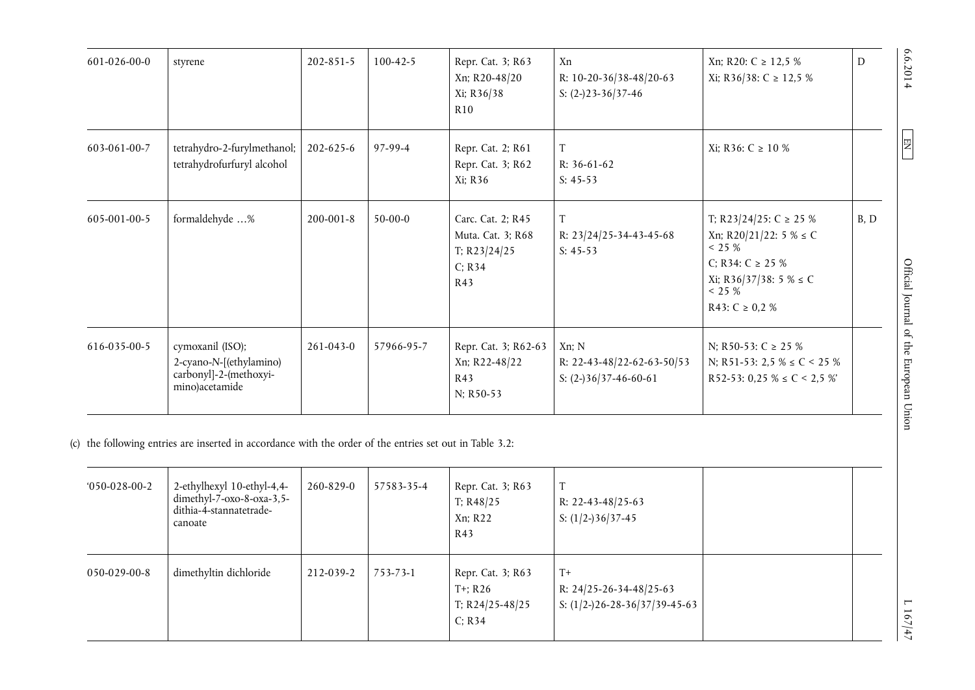| 601-026-00-0         | styrene                                                                                              | $202 - 851 - 5$ | $100 - 42 - 5$ | Repr. Cat. 3; R63<br>Xn; R20-48/20<br>Xi; R36/38<br>R10                   | Xn<br>R: 10-20-36/38-48/20-63<br>S: $(2-)23-36/37-46$              | Xn; R20: C ≥ 12,5 %<br>Xi; R36/38: C ≥ 12,5 %                                                                                                       | D    | 6.6.2014                               |
|----------------------|------------------------------------------------------------------------------------------------------|-----------------|----------------|---------------------------------------------------------------------------|--------------------------------------------------------------------|-----------------------------------------------------------------------------------------------------------------------------------------------------|------|----------------------------------------|
| 603-061-00-7         | tetrahydro-2-furylmethanol;<br>tetrahydrofurfuryl alcohol                                            | 202-625-6       | 97-99-4        | Repr. Cat. 2; R61<br>Repr. Cat. 3; R62<br>Xi; R36                         | T<br>R: 36-61-62<br>$S: 45-53$                                     | Xi; R36: C ≥ 10 %                                                                                                                                   |      | $\boxed{E}$                            |
| 605-001-00-5         | formaldehyde %                                                                                       | $200 - 001 - 8$ | $50-00-0$      | Carc. Cat. 2; R45<br>Muta. Cat. 3; R68<br>T; $R23/24/25$<br>C; R34<br>R43 | T<br>R: 23/24/25-34-43-45-68<br>$S: 45-53$                         | T; R23/24/25: C $\geq$ 25 %<br>Xn; R20/21/22: 5 % $\leq$ C<br>< 25 %<br>C; R34: $C \ge 25 \%$<br>Xi; R36/37/38: 5 % ≤ C<br>< 25 %<br>R43: C ≥ 0,2 % | B, D |                                        |
| 616-035-00-5         | cymoxanil (ISO);<br>2-cyano-N-[(ethylamino)<br>carbonyl]-2-(methoxyi-<br>mino)acetamide              | $261 - 043 - 0$ | 57966-95-7     | Repr. Cat. 3; R62-63<br>Xn; R22-48/22<br>R43<br>N; R50-53                 | Xn; N<br>R: 22-43-48/22-62-63-50/53<br>S: $(2-)36/37-46-60-61$     | N; R50-53: C $\ge$ 25 %<br>N; R51-53: 2,5 % $\leq$ C < 25 %<br>R52-53: 0,25 % $\leq$ C < 2,5 %'                                                     |      | Official Journal of the European Union |
|                      | the following entries are inserted in accordance with the order of the entries set out in Table 3.2: |                 |                |                                                                           |                                                                    |                                                                                                                                                     |      |                                        |
| $050 - 028 - 00 - 2$ | 2-ethylhexyl 10-ethyl-4,4-<br>dimethyl- $7$ -oxo-8-oxa-3,5-<br>dithia-4-stannatetrade-<br>canoate    | 260-829-0       | 57583-35-4     | Repr. Cat. 3; R63<br>T; $R48/25$<br>Xn; R22<br>R43                        | T<br>R: 22-43-48/25-63<br>S: $(1/2-)36/37-45$                      |                                                                                                                                                     |      |                                        |
| 050-029-00-8         | dimethyltin dichloride                                                                               | 212-039-2       | 753-73-1       | Repr. Cat. 3; R63<br>$T^+$ ; R26<br>T; R24/25-48/25<br>C; R34             | $T+$<br>R: 24/25-26-34-48/25-63<br>S: $(1/2-)26-28-36/37/39-45-63$ |                                                                                                                                                     |      | L 167/47                               |

| $050-028-00-2$ | 2-ethylhexyl 10-ethyl-4,4-<br>dimethyl-7- $oxo-8-oxa-3,5-$<br>dithia-4-stannatetrade-<br>canoate | 260-829-0 | 57583-35-4 | Repr. Cat. 3; R63<br>T: R48/25<br>Xn; R22<br>R43            | T<br>R: 22-43-48/25-63<br>S: $(1/2-)36/37-45$                                |  |
|----------------|--------------------------------------------------------------------------------------------------|-----------|------------|-------------------------------------------------------------|------------------------------------------------------------------------------|--|
| 050-029-00-8   | dimethyltin dichloride                                                                           | 212-039-2 | 753-73-1   | Repr. Cat. 3; R63<br>T+; R26<br>T; $R24/25-48/25$<br>C; R34 | $T+$<br>R: $24/25 - 26 - 34 - 48/25 - 63$<br>S: $(1/2-)26-28-36/37/39-45-63$ |  |

 $1167/47$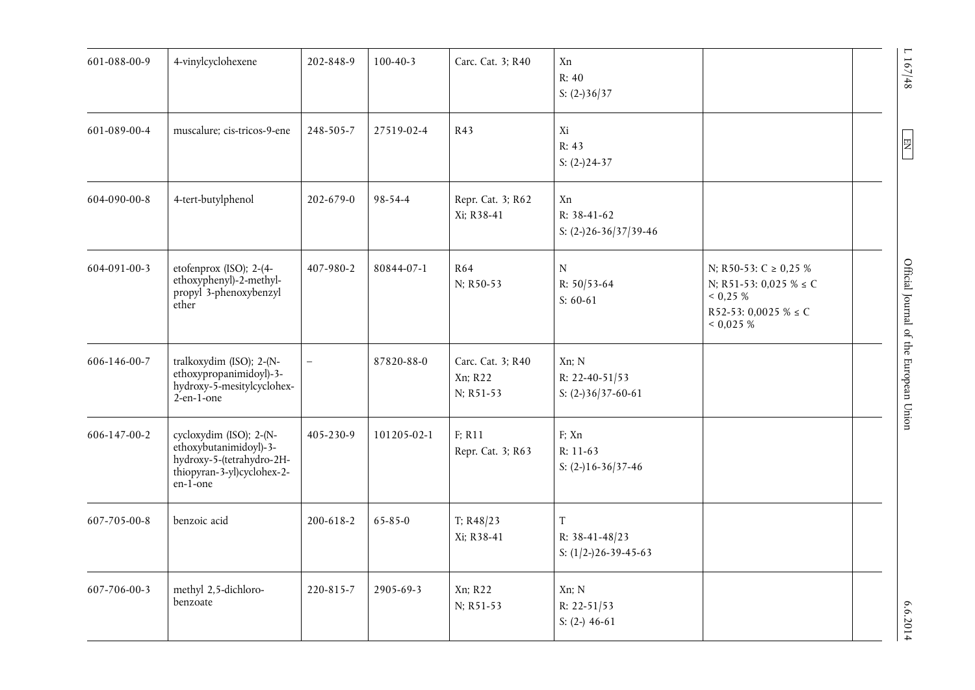| 601-088-00-9 | 4-vinylcyclohexene                                                                                                       | 202-848-9       | $100 - 40 - 3$ | Carc. Cat. 3; R40                         | Xn<br>R: 40<br>S: $(2-)36/37$                       |                                                                                                                   |  |
|--------------|--------------------------------------------------------------------------------------------------------------------------|-----------------|----------------|-------------------------------------------|-----------------------------------------------------|-------------------------------------------------------------------------------------------------------------------|--|
| 601-089-00-4 | muscalure; cis-tricos-9-ene                                                                                              | 248-505-7       | 27519-02-4     | R43                                       | Xi<br>R: 43<br>S: $(2-)24-37$                       |                                                                                                                   |  |
| 604-090-00-8 | 4-tert-butylphenol                                                                                                       | 202-679-0       | 98-54-4        | Repr. Cat. 3; R62<br>Xi; R38-41           | Xn<br>R: 38-41-62<br>S: $(2-)26-36/37/39-46$        |                                                                                                                   |  |
| 604-091-00-3 | etofenprox (ISO); 2-(4-<br>ethoxyphenyl)-2-methyl-<br>propyl 3-phenoxybenzyl<br>ether                                    | 407-980-2       | 80844-07-1     | <b>R64</b><br>N; R50-53                   | N<br>R: $50/53-64$<br>$S: 60-61$                    | N; R50-53: C $\geq$ 0,25 %<br>N; R51-53: 0,025 % $\leq$ C<br>0,25%<br>R52-53: 0,0025 % $\leq$ C<br>${}< 0.025 \%$ |  |
| 606-146-00-7 | tralkoxydim (ISO); 2-(N-<br>ethoxypropanimidoyl)-3-<br>hydroxy-5-mesitylcyclohex-<br>$2$ -en-1-one                       |                 | 87820-88-0     | Carc. Cat. 3; R40<br>Xn; R22<br>N; R51-53 | Xn; N<br>R: 22-40-51/53<br>S: $(2-)36/37-60-61$     |                                                                                                                   |  |
| 606-147-00-2 | cycloxydim (ISO); 2-(N-<br>ethoxybutanimidoyl)-3-<br>hydroxy-5-(tetrahydro-2H-<br>thiopyran-3-yl)cyclohex-2-<br>en-1-one | 405-230-9       | 101205-02-1    | F: R11<br>Repr. Cat. 3; R63               | F; Xn<br>R: 11-63<br>S: $(2-)16-36/37-46$           |                                                                                                                   |  |
| 607-705-00-8 | benzoic acid                                                                                                             | $200 - 618 - 2$ | 65-85-0        | T; R48/23<br>Xi; R38-41                   | $\rm T$<br>R: 38-41-48/23<br>S: $(1/2-)26-39-45-63$ |                                                                                                                   |  |
| 607-706-00-3 | methyl 2,5-dichloro-<br>benzoate                                                                                         | 220-815-7       | 2905-69-3      | Xn; R22<br>N; R51-53                      | Xn; N<br>R: 22-51/53<br>S: $(2-) 46-61$             |                                                                                                                   |  |

 $\sim 107/48$  Official Journal of the European Union Englishment During  $\sim 0.6$  .  $\sim 207/4$  S  $\sim 107/4$  S  $\sim 207/4$  S  $\sim 207/4$  S  $\sim 207/4$  S  $\sim 207/4$  S  $\sim 207/4$  S  $\sim 207/4$  S  $\sim 207/4$  S  $\sim 207/4$  S  $\sim 207/4$ Official Journal of the European Union

 $L$  167/48

 $\boxed{\text{EN}}$ 

6.6.2014